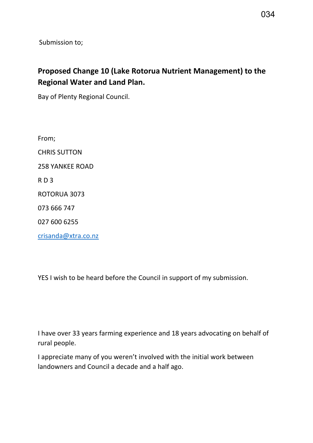Submission to;

# **Proposed Change 10 (Lake Rotorua Nutrient Management) to the Regional Water and Land Plan.**

Bay of Plenty Regional Council.

From; CHRIS SUTTON 258 YANKEE ROAD R D 3 ROTORUA 3073 073 666 747 027 600 6255

[crisanda@xtra.co.nz](mailto:crisanda@xtra.co.nz)

YES I wish to be heard before the Council in support of my submission.

```
I have over 33 years farming experience and 18 years advocating on behalf of 
rural people.
```
I appreciate many of you weren't involved with the initial work between landowners and Council a decade and a half ago.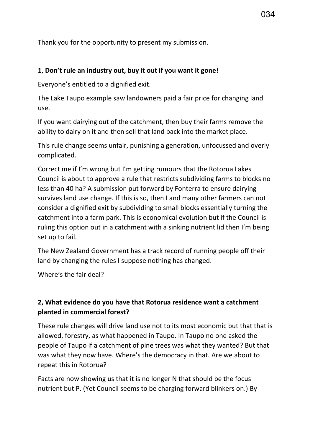Thank you for the opportunity to present my submission.

#### **1**, **Don't rule an industry out, buy it out if you want it gone!**

Everyone's entitled to a dignified exit.

The Lake Taupo example saw landowners paid a fair price for changing land use.

If you want dairying out of the catchment, then buy their farms remove the ability to dairy on it and then sell that land back into the market place.

This rule change seems unfair, punishing a generation, unfocussed and overly complicated.

Correct me if I'm wrong but I'm getting rumours that the Rotorua Lakes Council is about to approve a rule that restricts subdividing farms to blocks no less than 40 ha? A submission put forward by Fonterra to ensure dairying survives land use change. If this is so, then I and many other farmers can not consider a dignified exit by subdividing to small blocks essentially turning the catchment into a farm park. This is economical evolution but if the Council is ruling this option out in a catchment with a sinking nutrient lid then I'm being set up to fail.

The New Zealand Government has a track record of running people off their land by changing the rules I suppose nothing has changed.

Where's the fair deal?

# **2, What evidence do you have that Rotorua residence want a catchment planted in commercial forest?**

These rule changes will drive land use not to its most economic but that that is allowed, forestry, as what happened in Taupo. In Taupo no one asked the people of Taupo if a catchment of pine trees was what they wanted? But that was what they now have. Where's the democracy in that. Are we about to repeat this in Rotorua?

Facts are now showing us that it is no longer N that should be the focus nutrient but P. (Yet Council seems to be charging forward blinkers on.) By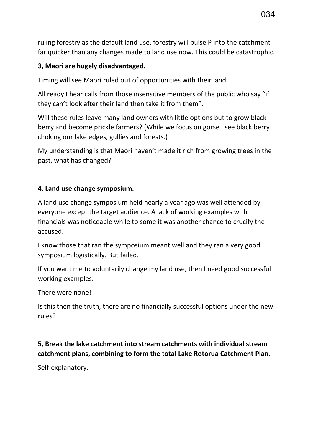ruling forestry as the default land use, forestry will pulse P into the catchment far quicker than any changes made to land use now. This could be catastrophic.

## **3, Maori are hugely disadvantaged.**

Timing will see Maori ruled out of opportunities with their land.

All ready I hear calls from those insensitive members of the public who say "if they can't look after their land then take it from them".

Will these rules leave many land owners with little options but to grow black berry and become prickle farmers? (While we focus on gorse I see black berry choking our lake edges, gullies and forests.)

My understanding is that Maori haven't made it rich from growing trees in the past, what has changed?

## **4, Land use change symposium.**

A land use change symposium held nearly a year ago was well attended by everyone except the target audience. A lack of working examples with financials was noticeable while to some it was another chance to crucify the accused.

I know those that ran the symposium meant well and they ran a very good symposium logistically. But failed.

If you want me to voluntarily change my land use, then I need good successful working examples.

There were none!

Is this then the truth, there are no financially successful options under the new rules?

# **5, Break the lake catchment into stream catchments with individual stream catchment plans, combining to form the total Lake Rotorua Catchment Plan.**

Self-explanatory.